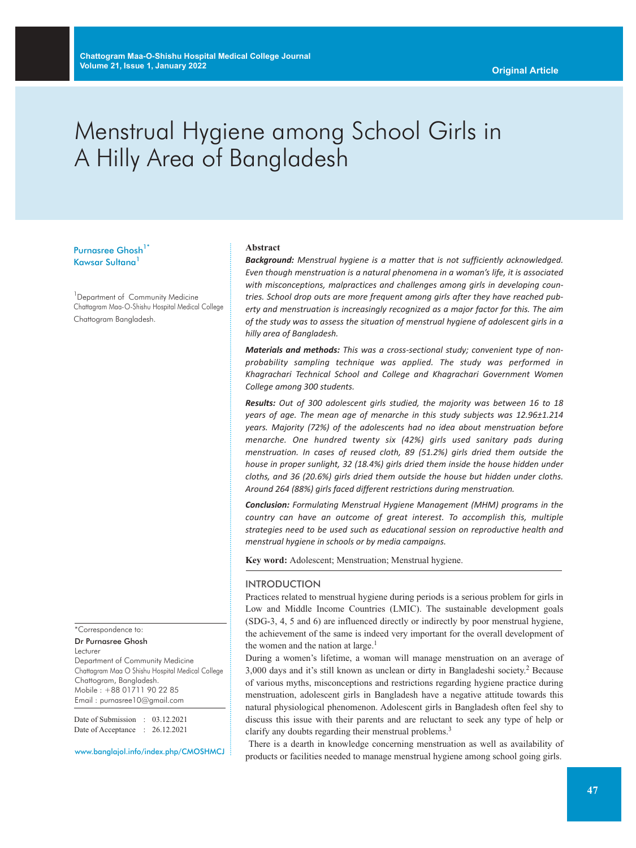# Menstrual Hygiene among School Girls in A Hilly Area of Bangladesh

# Purnasree Ghosh<sup>1\*</sup> Kawsar Sultana<sup>1</sup>

<sup>1</sup> Department of Community Medicine Chattagram Maa-O-Shishu Hospital Medical College Chattogram Bangladesh.

\*Correspondence to: Dr Purnasree Ghosh

Lecturer

Department of Community Medicine Chattagram Maa O Shishu Hospital Medical College Chattogram, Bangladesh. Mobile : +88 01711 90 22 85 Email : purnasree10@gmail.com

Date of Submission : 03.12.2021 Date of Acceptance : 26.12.2021

www.banglajol.info/index.php/CMOSHMCJ

#### **Abstract**

*Background: Menstrual hygiene is a matter that is not sufficiently acknowledged. Even though menstruation is a natural phenomena in a woman's life, it is associated with misconceptions, malpractices and challenges among girls in developing countries. School drop outs are more frequent among girls after they have reached puberty and menstruation is increasingly recognized as a major factor for this. The aim of the study was to assess the situation of menstrual hygiene of adolescent girls in a hilly area of Bangladesh.*

*Materials and methods: This was a cross-sectional study; convenient type of nonprobability sampling technique was applied. The study was performed in Khagrachari Technical School and College and Khagrachari Government Women College among 300 students.*

*Results: Out of 300 adolescent girls studied, the majority was between 16 to 18 years of age. The mean age of menarche in this study subjects was 12.96±1.214 years. Majority (72%) of the adolescents had no idea about menstruation before menarche. One hundred twenty six (42%) girls used sanitary pads during menstruation. In cases of reused cloth, 89 (51.2%) girls dried them outside the house in proper sunlight, 32 (18.4%) girls dried them inside the house hidden under cloths, and 36 (20.6%) girls dried them outside the house but hidden under cloths. Around 264 (88%) girls faced different restrictions during menstruation.*

*Conclusion: Formulating Menstrual Hygiene Management (MHM) programs in the country can have an outcome of great interest. To accomplish this, multiple strategies need to be used such as educational session on reproductive health and menstrual hygiene in schools or by media campaigns.*

**Key word:** Adolescent; Menstruation; Menstrual hygiene.

#### INTRODUCTION

Practices related to menstrual hygiene during periods is a serious problem for girls in Low and Middle Income Countries (LMIC). The sustainable development goals (SDG-3, 4, 5 and 6) are influenced directly or indirectly by poor menstrual hygiene, the achievement of the same is indeed very important for the overall development of the women and the nation at large.<sup>1</sup>

During a women's lifetime, a woman will manage menstruation on an average of 3,000 days and it's still known as unclean or dirty in Bangladeshi society. <sup>2</sup> Because of various myths, misconceptions and restrictions regarding hygiene practice during menstruation, adolescent girls in Bangladesh have a negative attitude towards this natural physiological phenomenon. Adolescent girls in Bangladesh often feel shy to discuss this issue with their parents and are reluctant to seek any type of help or clarify any doubts regarding their menstrual problems.<sup>3</sup>

There is a dearth in knowledge concerning menstruation as well as availability of products or facilities needed to manage menstrual hygiene among school going girls.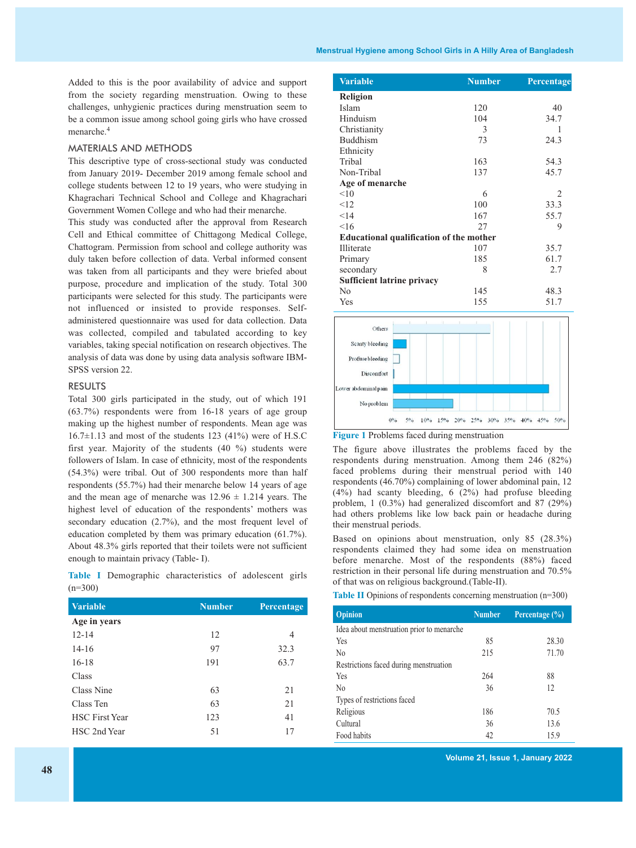Added to this is the poor availability of advice and support from the society regarding menstruation. Owing to these challenges, unhygienic practices during menstruation seem to be a common issue among school going girls who have crossed menarche. 4

### MATERIALS AND METHODS

This descriptive type of cross-sectional study was conducted from January 2019- December 2019 among female school and college students between 12 to 19 years, who were studying in Khagrachari Technical School and College and Khagrachari Government Women College and who had their menarche.

This study was conducted after the approval from Research Cell and Ethical committee of Chittagong Medical College, Chattogram. Permission from school and college authority was duly taken before collection of data. Verbal informed consent was taken from all participants and they were briefed about purpose, procedure and implication of the study. Total 300 participants were selected for this study. The participants were not influenced or insisted to provide responses. Selfadministered questionnaire was used for data collection. Data was collected, compiled and tabulated according to key variables, taking special notification on research objectives. The analysis of data was done by using data analysis software IBM-SPSS version 22.

#### RESULTS

Total 300 girls participated in the study, out of which 191 (63.7%) respondents were from 16-18 years of age group making up the highest number of respondents. Mean age was  $16.7\pm1.13$  and most of the students 123 (41%) were of H.S.C first year. Majority of the students (40 %) students were followers of Islam. In case of ethnicity, most of the respondents (54.3%) were tribal. Out of 300 respondents more than half respondents (55.7%) had their menarche below 14 years of age and the mean age of menarche was  $12.96 \pm 1.214$  years. The highest level of education of the respondents' mothers was secondary education (2.7%), and the most frequent level of education completed by them was primary education (61.7%). About 48.3% girls reported that their toilets were not sufficient enough to maintain privacy (Table- I).

**Table I** Demographic characteristics of adolescent girls  $(n=300)$ 

| <b>Variable</b>       | <b>Number</b> | Percentage |
|-----------------------|---------------|------------|
| Age in years          |               |            |
| $12 - 14$             | 12            | 4          |
| $14 - 16$             | 97            | 32.3       |
| $16-18$               | 191           | 63.7       |
| Class                 |               |            |
| Class Nine            | 63            | 21         |
| Class Ten             | 63            | 21         |
| <b>HSC</b> First Year | 123           | 41         |
| HSC 2nd Year          | 51            | 17         |

| <b>Variable</b>                                | <b>Number</b> | Percentage |
|------------------------------------------------|---------------|------------|
| <b>Religion</b>                                |               |            |
| Islam                                          | 120           | 40         |
| Hinduism                                       | 104           | 34.7       |
| Christianity                                   | 3             | 1          |
| <b>Buddhism</b>                                | 73            | 24.3       |
| Ethnicity                                      |               |            |
| Tribal                                         | 163           | 54.3       |
| Non-Tribal                                     | 137           | 45.7       |
| Age of menarche                                |               |            |
| < 10                                           | 6             | 2          |
| <12                                            | 100           | 33.3       |
| < 14                                           | 167           | 55.7       |
| 16                                             | 27            | 9          |
| <b>Educational qualification of the mother</b> |               |            |
| <b>Illiterate</b>                              | 107           | 35.7       |
| Primary                                        | 185           | 61.7       |
| secondary                                      | 8             | 2.7        |
| <b>Sufficient latrine privacy</b>              |               |            |
| $\rm No$                                       | 145           | 48.3       |
| Yes                                            | 155           | 51.7       |
| Others                                         |               |            |
|                                                |               |            |
| Scanty bleeding                                |               |            |
| Profusebleeding                                |               |            |
| <b>Discomfort</b>                              |               |            |
|                                                |               |            |
| Lower abdominal pain                           |               |            |

**Figure 1** Problems faced during menstruation

No problem

The figure above illustrates the problems faced by the respondents during menstruation. Among them 246 (82%) faced problems during their menstrual period with 140 respondents (46.70%) complaining of lower abdominal pain, 12 (4%) had scanty bleeding, 6 (2%) had profuse bleeding problem, 1 (0.3%) had generalized discomfort and 87 (29%) had others problems like low back pain or headache during their menstrual periods.

 $0\%$  5% 10% 15% 20% 25% 30% 35% 40% 45%

50%

Based on opinions about menstruation, only 85 (28.3%) respondents claimed they had some idea on menstruation before menarche. Most of the respondents (88%) faced restriction in their personal life during menstruation and 70.5% of that was on religious background.(Table-II).

**Table II** Opinions of respondents concerning menstruation (n=300)

| <b>Opinion</b>                            | <b>Number</b> | Percentage $(\% )$ |  |  |
|-------------------------------------------|---------------|--------------------|--|--|
| Idea about menstruation prior to menarche |               |                    |  |  |
| Yes                                       | 85            | 28.30              |  |  |
| N <sub>0</sub>                            | 215           | 71.70              |  |  |
| Restrictions faced during menstruation    |               |                    |  |  |
| Yes                                       | 264           | 88                 |  |  |
| N <sub>0</sub>                            | 36            | 12                 |  |  |
| Types of restrictions faced               |               |                    |  |  |
| Religious                                 | 186           | 70.5               |  |  |
| Cultural                                  | 36            | 13.6               |  |  |
| Food habits                               | 42            | 15.9               |  |  |

**Volume 21, Issue 1, January 2022**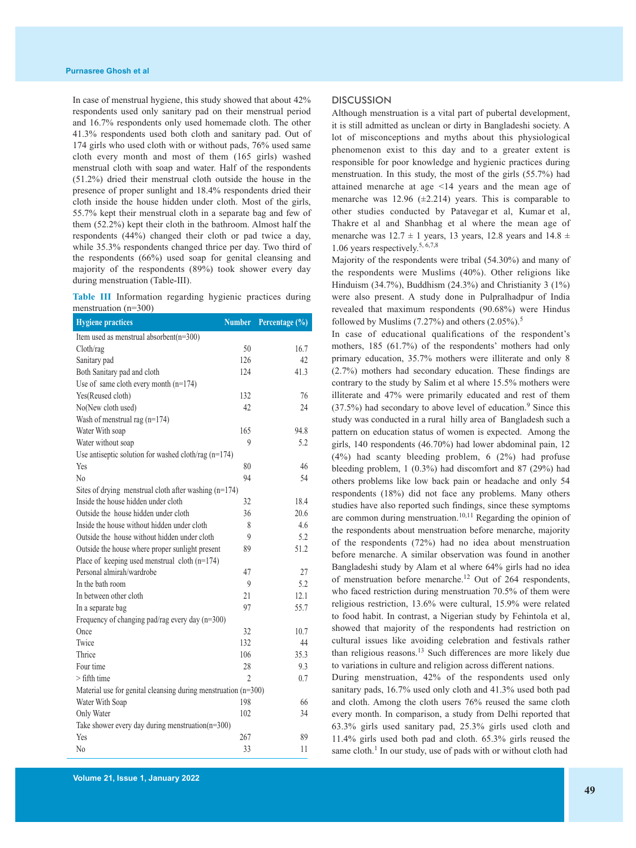In case of menstrual hygiene, this study showed that about 42% respondents used only sanitary pad on their menstrual period and 16.7% respondents only used homemade cloth. The other 41.3% respondents used both cloth and sanitary pad. Out of 174 girls who used cloth with or without pads, 76% used same cloth every month and most of them (165 girls) washed menstrual cloth with soap and water. Half of the respondents (51.2%) dried their menstrual cloth outside the house in the presence of proper sunlight and 18.4% respondents dried their cloth inside the house hidden under cloth. Most of the girls, 55.7% kept their menstrual cloth in a separate bag and few of them (52.2%) kept their cloth in the bathroom. Almost half the respondents (44%) changed their cloth or pad twice a day, while 35.3% respondents changed thrice per day. Two third of the respondents (66%) used soap for genital cleansing and majority of the respondents (89%) took shower every day during menstruation (Table-III).

|  | Table III Information regarding hygienic practices during |  |  |
|--|-----------------------------------------------------------|--|--|
|  | menstruation $(n=300)$                                    |  |  |

| <b>Hygiene practices</b>                                         | <b>Number</b> | Percentage (%) |
|------------------------------------------------------------------|---------------|----------------|
| Item used as menstrual absorbent $(n=300)$                       |               |                |
| Cloth/rag                                                        | 50            | 16.7           |
| Sanitary pad                                                     | 126           | 42             |
| Both Sanitary pad and cloth                                      | 124           | 41.3           |
| Use of same cloth every month $(n=174)$                          |               |                |
| Yes(Reused cloth)                                                | 132           | 76             |
| No(New cloth used)                                               | 42            | 24             |
| Wash of menstrual rag $(n=174)$                                  |               |                |
| Water With soap                                                  | 165           | 94.8           |
| Water without soap                                               | 9             | 5.2            |
| Use antiseptic solution for washed cloth/rag (n=174)             |               |                |
| Yes                                                              | 80            | 46             |
| No                                                               | 94            | 54             |
| Sites of drying menstrual cloth after washing (n=174)            |               |                |
| Inside the house hidden under cloth                              | 32            | 18.4           |
| Outside the house hidden under cloth                             | 36            | 20.6           |
| Inside the house without hidden under cloth                      | 8             | 4.6            |
| Outside the house without hidden under cloth                     | 9             | 5.2            |
| Outside the house where proper sunlight present                  | 89            | 51.2           |
| Place of keeping used menstrual cloth $(n=174)$                  |               |                |
| Personal almirah/wardrobe                                        | 47            | 27             |
| In the bath room                                                 | 9             | 5.2            |
| In between other cloth                                           | 21            | 12.1           |
| In a separate bag                                                | 97            | 55.7           |
| Frequency of changing pad/rag every day $(n=300)$                |               |                |
| Once                                                             | 32            | 10.7           |
| Twice                                                            | 132           | 44             |
| Thrice                                                           | 106           | 35.3           |
| Four time                                                        | 28            | 9.3            |
| $>$ fifth time                                                   | 2             | 0.7            |
| Material use for genital cleansing during menstruation $(n=300)$ |               |                |
| Water With Soap                                                  | 198           | 66             |
| Only Water                                                       | 102           | 34             |
| Take shower every day during menstruation( $n=300$ )             |               |                |
| Yes                                                              | 267           | 89             |
| No                                                               | 33            | 11             |

#### **DISCUSSION**

Although menstruation is a vital part of pubertal development, it is still admitted as unclean or dirty in Bangladeshi society. A lot of misconceptions and myths about this physiological phenomenon exist to this day and to a greater extent is responsible for poor knowledge and hygienic practices during menstruation. In this study, the most of the girls (55.7%) had attained menarche at age <14 years and the mean age of menarche was 12.96 (±2.214) years. This is comparable to other studies conducted by Patavegar et al, Kumar et al, Thakre et al and Shanbhag et al where the mean age of menarche was  $12.7 \pm 1$  years, 13 years, 12.8 years and  $14.8 \pm 1$ 1.06 years respectively. 5, 6,7,8

Majority of the respondents were tribal (54.30%) and many of the respondents were Muslims (40%). Other religions like Hinduism (34.7%), Buddhism (24.3%) and Christianity 3 (1%) were also present. A study done in Pulpralhadpur of India revealed that maximum respondents (90.68%) were Hindus followed by Muslims  $(7.27\%)$  and others  $(2.05\%)$ .<sup>5</sup>

In case of educational qualifications of the respondent's mothers, 185 (61.7%) of the respondents' mothers had only primary education, 35.7% mothers were illiterate and only 8 (2.7%) mothers had secondary education. These findings are contrary to the study by Salim et al where 15.5% mothers were illiterate and 47% were primarily educated and rest of them  $(37.5%)$  had secondary to above level of education.<sup>9</sup> Since this study was conducted in a rural hilly area of Bangladesh such a pattern on education status of women is expected. Among the girls, 140 respondents (46.70%) had lower abdominal pain, 12 (4%) had scanty bleeding problem, 6 (2%) had profuse bleeding problem, 1 (0.3%) had discomfort and 87 (29%) had others problems like low back pain or headache and only 54 respondents (18%) did not face any problems. Many others studies have also reported such findings, since these symptoms are common during menstruation.<sup>10,11</sup> Regarding the opinion of the respondents about menstruation before menarche, majority of the respondents (72%) had no idea about menstruation before menarche. A similar observation was found in another Bangladeshi study by Alam et al where 64% girls had no idea of menstruation before menarche.<sup>12</sup> Out of 264 respondents, who faced restriction during menstruation 70.5% of them were religious restriction, 13.6% were cultural, 15.9% were related to food habit. In contrast, a Nigerian study by Fehintola et al, showed that majority of the respondents had restriction on cultural issues like avoiding celebration and festivals rather than religious reasons. <sup>13</sup> Such differences are more likely due to variations in culture and religion across different nations.

During menstruation, 42% of the respondents used only sanitary pads, 16.7% used only cloth and 41.3% used both pad and cloth. Among the cloth users 76% reused the same cloth every month. In comparison, a study from Delhi reported that 63.3% girls used sanitary pad, 25.3% girls used cloth and 11.4% girls used both pad and cloth. 65.3% girls reused the same cloth.<sup>1</sup> In our study, use of pads with or without cloth had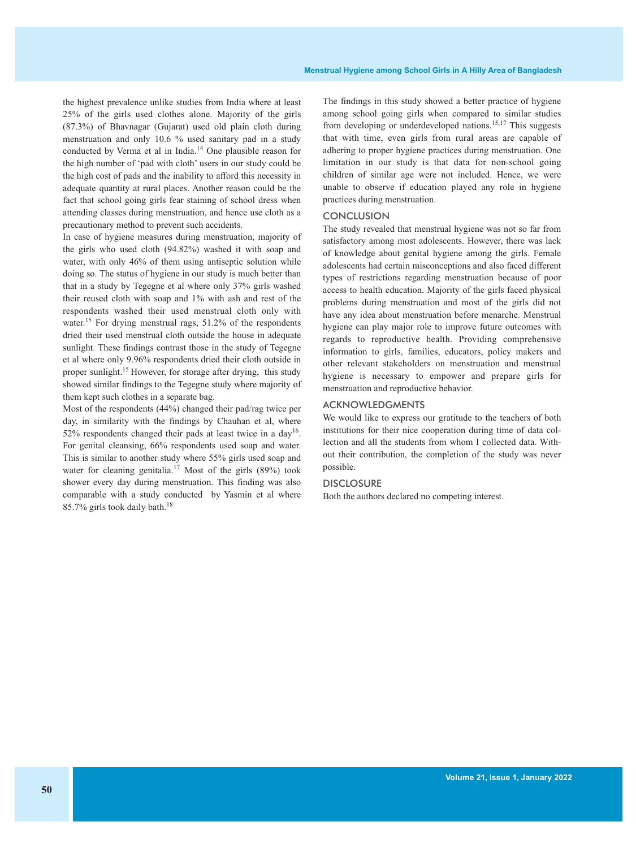the highest prevalence unlike studies from India where at least 25% of the girls used clothes alone. Majority of the girls (87.3%) of Bhavnagar (Gujarat) used old plain cloth during menstruation and only 10.6 % used sanitary pad in a study conducted by Verma et al in India. <sup>14</sup> One plausible reason for the high number of 'pad with cloth' users in our study could be the high cost of pads and the inability to afford this necessity in adequate quantity at rural places. Another reason could be the fact that school going girls fear staining of school dress when attending classes during menstruation, and hence use cloth as a precautionary method to prevent such accidents.

In case of hygiene measures during menstruation, majority of the girls who used cloth (94.82%) washed it with soap and water, with only 46% of them using antiseptic solution while doing so. The status of hygiene in our study is much better than that in a study by Tegegne et al where only 37% girls washed their reused cloth with soap and 1% with ash and rest of the respondents washed their used menstrual cloth only with water.<sup>15</sup> For drying menstrual rags, 51.2% of the respondents dried their used menstrual cloth outside the house in adequate sunlight. These findings contrast those in the study of Tegegne et al where only 9.96% respondents dried their cloth outside in proper sunlight.<sup>15</sup> However, for storage after drying, this study showed similar findings to the Tegegne study where majority of them kept such clothes in a separate bag.

Most of the respondents (44%) changed their pad/rag twice per day, in similarity with the findings by Chauhan et al, where 52% respondents changed their pads at least twice in a day<sup>16</sup>. For genital cleansing, 66% respondents used soap and water. This is similar to another study where 55% girls used soap and water for cleaning genitalia.<sup>17</sup> Most of the girls (89%) took shower every day during menstruation. This finding was also comparable with a study conducted by Yasmin et al where 85.7% girls took daily bath. 18

The findings in this study showed a better practice of hygiene among school going girls when compared to similar studies from developing or underdeveloped nations.<sup>15,17</sup> This suggests that with time, even girls from rural areas are capable of adhering to proper hygiene practices during menstruation. One limitation in our study is that data for non-school going children of similar age were not included. Hence, we were unable to observe if education played any role in hygiene practices during menstruation.

#### **CONCLUSION**

The study revealed that menstrual hygiene was not so far from satisfactory among most adolescents. However, there was lack of knowledge about genital hygiene among the girls. Female adolescents had certain misconceptions and also faced different types of restrictions regarding menstruation because of poor access to health education. Majority of the girls faced physical problems during menstruation and most of the girls did not have any idea about menstruation before menarche. Menstrual hygiene can play major role to improve future outcomes with regards to reproductive health. Providing comprehensive information to girls, families, educators, policy makers and other relevant stakeholders on menstruation and menstrual hygiene is necessary to empower and prepare girls for menstruation and reproductive behavior.

#### ACKNOWLEDGMENTS

We would like to express our gratitude to the teachers of both institutions for their nice cooperation during time of data collection and all the students from whom I collected data. Without their contribution, the completion of the study was never possible.

# **DISCLOSURE**

Both the authors declared no competing interest.